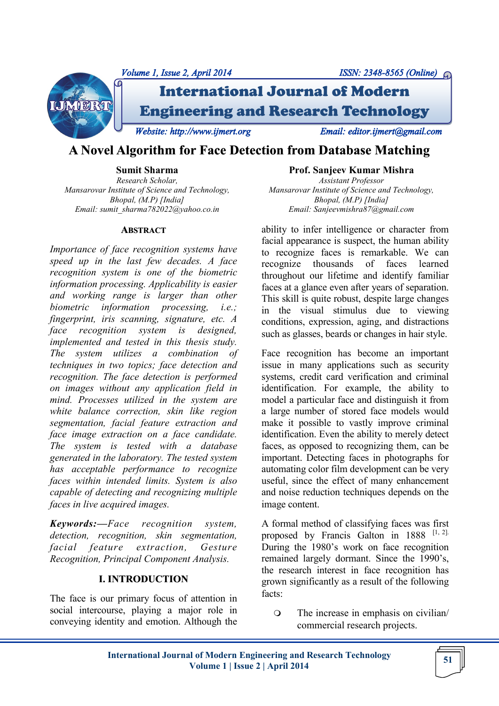

# **A Novel Algorithm for Face Detection from Database Matching**

**Sumit Sharma** *Research Scholar, Mansarovar Institute of Science and Technology, Bhopal, (M.P) [India] Email: sumit\_sharma782022@yahoo.co.in*

#### **ABSTRACT**

*Importance of face recognition systems have speed up in the last few decades. A face recognition system is one of the biometric information processing. Applicability is easier and working range is larger than other biometric information processing, i.e.; fingerprint, iris scanning, signature, etc. A face recognition system is designed, implemented and tested in this thesis study. The system utilizes a combination of techniques in two topics; face detection and recognition. The face detection is performed on images without any application field in mind. Processes utilized in the system are white balance correction, skin like region segmentation, facial feature extraction and face image extraction on a face candidate. The system is tested with a database generated in the laboratory. The tested system has acceptable performance to recognize faces within intended limits. System is also capable of detecting and recognizing multiple faces in live acquired images.*

*Keywords:—Face recognition system, detection, recognition, skin segmentation, facial feature extraction, Gesture Recognition, Principal Component Analysis.*

#### **I. INTRODUCTION**

The face is our primary focus of attention in social intercourse, playing a major role in conveying identity and emotion. Although the

**Prof. Sanjeev Kumar Mishra** *Assistant Professor Mansarovar Institute of Science and Technology, Bhopal, (M.P) [India] Email: Sanjeevmishra87@gmail.com*

ability to infer intelligence or character from facial appearance is suspect, the human ability to recognize faces is remarkable. We can recognize thousands of faces learned throughout our lifetime and identify familiar faces at a glance even after years of separation. This skill is quite robust, despite large changes in the visual stimulus due to viewing conditions, expression, aging, and distractions such as glasses, beards or changes in hair style.

Face recognition has become an important issue in many applications such as security systems, credit card verification and criminal identification. For example, the ability to model a particular face and distinguish it from a large number of stored face models would make it possible to vastly improve criminal identification. Even the ability to merely detect faces, as opposed to recognizing them, can be important. Detecting faces in photographs for automating color film development can be very useful, since the effect of many enhancement and noise reduction techniques depends on the image content.

A formal method of classifying faces was first proposed by Francis Galton in  $1888$ <sup>[1, 2].</sup> During the 1980's work on face recognition remained largely dormant. Since the 1990's, the research interest in face recognition has grown significantly as a result of the following facts:

 The increase in emphasis on civilian/ commercial research projects.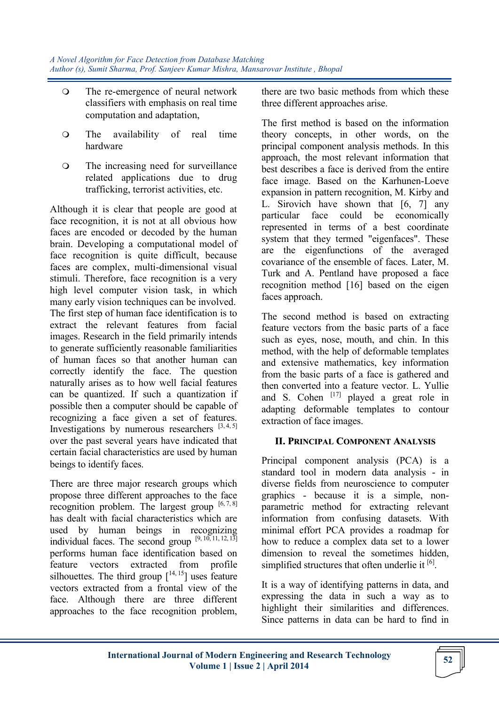- The re-emergence of neural network classifiers with emphasis on real time computation and adaptation,
- The availability of real time hardware
- The increasing need for surveillance related applications due to drug trafficking, terrorist activities, etc.

Although it is clear that people are good at face recognition, it is not at all obvious how faces are encoded or decoded by the human brain. Developing a computational model of face recognition is quite difficult, because faces are complex, multi-dimensional visual stimuli. Therefore, face recognition is a very high level computer vision task, in which many early vision techniques can be involved. The first step of human face identification is to extract the relevant features from facial images. Research in the field primarily intends to generate sufficiently reasonable familiarities of human faces so that another human can correctly identify the face. The question naturally arises as to how well facial features can be quantized. If such a quantization if possible then a computer should be capable of recognizing a face given a set of features. Investigations by numerous researchers  $[3, 4, 5]$ over the past several years have indicated that certain facial characteristics are used by human beings to identify faces.

There are three major research groups which propose three different approaches to the face recognition problem. The largest group  $[6, 7, 8]$ has dealt with facial characteristics which are used by human beings in recognizing individual faces. The second group  $[9, 10, 11, 12, 13]$ performs human face identification based on feature vectors extracted from profile silhouettes. The third group  $[14, 15]$  uses feature vectors extracted from a frontal view of the face. Although there are three different approaches to the face recognition problem, there are two basic methods from which these three different approaches arise.

The first method is based on the information theory concepts, in other words, on the principal component analysis methods. In this approach, the most relevant information that best describes a face is derived from the entire face image. Based on the Karhunen-Loeve expansion in pattern recognition, M. Kirby and L. Sirovich have shown that [6, 7] any particular face could be economically represented in terms of a best coordinate system that they termed "eigenfaces". These are the eigenfunctions of the averaged covariance of the ensemble of faces. Later, M. Turk and A. Pentland have proposed a face recognition method [16] based on the eigen faces approach.

The second method is based on extracting feature vectors from the basic parts of a face such as eyes, nose, mouth, and chin. In this method, with the help of deformable templates and extensive mathematics, key information from the basic parts of a face is gathered and then converted into a feature vector. L. Yullie and S. Cohen  $\begin{bmatrix} 17 \end{bmatrix}$  played a great role in adapting deformable templates to contour extraction of face images.

# **II. PRINCIPAL COMPONENT ANALYSIS**

Principal component analysis (PCA) is a standard tool in modern data analysis - in diverse fields from neuroscience to computer graphics - because it is a simple, nonparametric method for extracting relevant information from confusing datasets. With minimal effort PCA provides a roadmap for how to reduce a complex data set to a lower dimension to reveal the sometimes hidden, simplified structures that often underlie it  $[6]$ .

It is a way of identifying patterns in data, and expressing the data in such a way as to highlight their similarities and differences. Since patterns in data can be hard to find in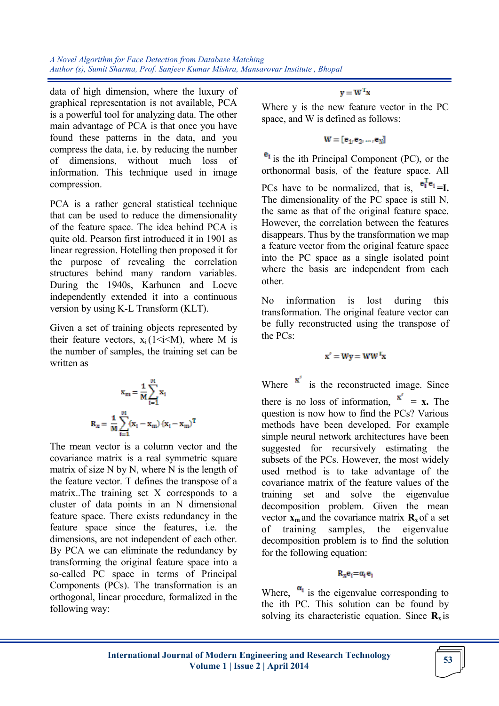data of high dimension, where the luxury of graphical representation is not available, PCA is a powerful tool for analyzing data. The other main advantage of PCA is that once you have found these patterns in the data, and you compress the data, i.e. by reducing the number of dimensions, without much loss of information. This technique used in image compression.

PCA is a rather general statistical technique that can be used to reduce the dimensionality of the feature space. The idea behind PCA is quite old. Pearson first introduced it in 1901 as linear regression. Hotelling then proposed it for the purpose of revealing the correlation structures behind many random variables. During the 1940s, Karhunen and Loeve independently extended it into a continuous version by using K-L Transform (KLT).

Given a set of training objects represented by their feature vectors,  $x_i(1 \le i \le M)$ , where M is the number of samples, the training set can be written as

$$
\mathbf{x}_m = \frac{1}{M}\sum_{i=1}^{M}\mathbf{x}_i
$$

$$
\mathbf{R}_{\mathbf{x}} = \frac{1}{M}\sum_{i=1}^{M}(\mathbf{x}_i - \mathbf{x}_m) \left(\mathbf{x}_i - \mathbf{x}_m\right)^T
$$

The mean vector is a column vector and the covariance matrix is a real symmetric square matrix of size N by N, where N is the length of the feature vector. T defines the transpose of a matrix..The training set X corresponds to a cluster of data points in an N dimensional feature space. There exists redundancy in the feature space since the features, i.e. the dimensions, are not independent of each other. By PCA we can eliminate the redundancy by transforming the original feature space into a so-called PC space in terms of Principal Components (PCs). The transformation is an orthogonal, linear procedure, formalized in the following way:

 $\mathbf{v} = \mathbf{W}^{\mathrm{T}} \mathbf{x}$ 

Where y is the new feature vector in the PC space, and W is defined as follows:

 $W = [e_1, e_2, ..., e_N]$ 

 $e_1$  is the ith Principal Component (PC), or the orthonormal basis, of the feature space. All PCs have to be normalized, that is,  $e_1^Te_1 = I$ . The dimensionality of the PC space is still N, the same as that of the original feature space. However, the correlation between the features disappears. Thus by the transformation we map a feature vector from the original feature space into the PC space as a single isolated point where the basis are independent from each other.

No information is lost during this transformation. The original feature vector can be fully reconstructed using the transpose of the PCs:

$$
\mathbf{x}' = \mathbf{W}\mathbf{y} = \mathbf{W}\mathbf{W}^T\mathbf{x}
$$

Where  $\mathbf{x}'$  is the reconstructed image. Since there is no loss of information,  $\mathbf{x}' = \mathbf{x}$ . The question is now how to find the PCs? Various methods have been developed. For example simple neural network architectures have been suggested for recursively estimating the subsets of the PCs. However, the most widely used method is to take advantage of the covariance matrix of the feature values of the training set and solve the eigenvalue decomposition problem. Given the mean vector  $\mathbf{x}_m$  and the covariance matrix  $\mathbf{R}_x$  of a set of training samples, the eigenvalue decomposition problem is to find the solution for the following equation:

## $R_xe_1 = \alpha_1e_1$

Where,  $\alpha_1$  is the eigenvalue corresponding to the ith PC. This solution can be found by solving its characteristic equation. Since  $\mathbf{R}_{\mathbf{x}}$  is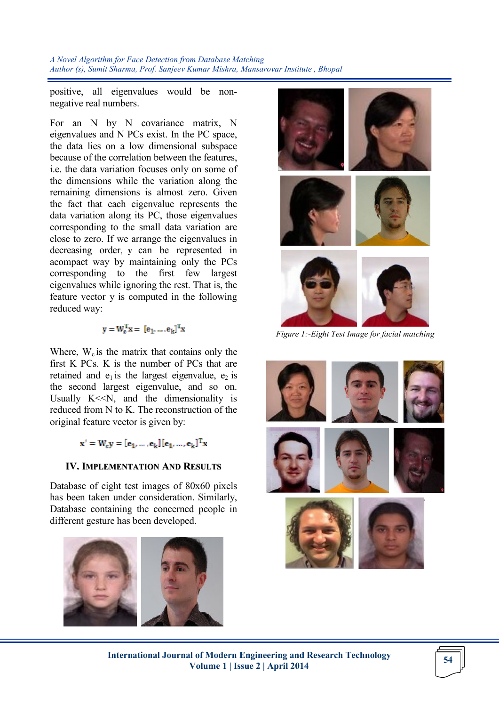positive, all eigenvalues would be nonnegative real numbers.

For an N by N covariance matrix, N eigenvalues and N PCs exist. In the PC space, the data lies on a low dimensional subspace because of the correlation between the features, i.e. the data variation focuses only on some of the dimensions while the variation along the remaining dimensions is almost zero. Given the fact that each eigenvalue represents the data variation along its PC, those eigenvalues corresponding to the small data variation are close to zero. If we arrange the eigenvalues in decreasing order, **y** can be represented in acompact way by maintaining only the PCs corresponding to the first few largest eigenvalues while ignoring the rest. That is, the feature vector y is computed in the following reduced way:

$$
\mathbf{y} = \mathbf{W}_c^T \mathbf{x} = [\mathbf{e}_1, \dots, \mathbf{e}_k]^T \mathbf{x}
$$

Where,  $W_c$  is the matrix that contains only the first K PCs. K is the number of PCs that are retained and  $e_1$  is the largest eigenvalue,  $e_2$  is the second largest eigenvalue, and so on. Usually  $K<\infty$ , and the dimensionality is reduced from N to K. The reconstruction of the original feature vector is given by:

$$
\mathbf{x}' = \mathbf{W}_{c} \mathbf{y} = [\mathbf{e}_1, \ldots, \mathbf{e}_k] [\mathbf{e}_1, \ldots, \mathbf{e}_k]^T \mathbf{x}
$$

## **IV. IMPLEMENTATION AND RESULTS**

Database of eight test images of 80x60 pixels has been taken under consideration. Similarly, Database containing the concerned people in different gesture has been developed.





*Figure 1:-Eight Test Image for facial matching*

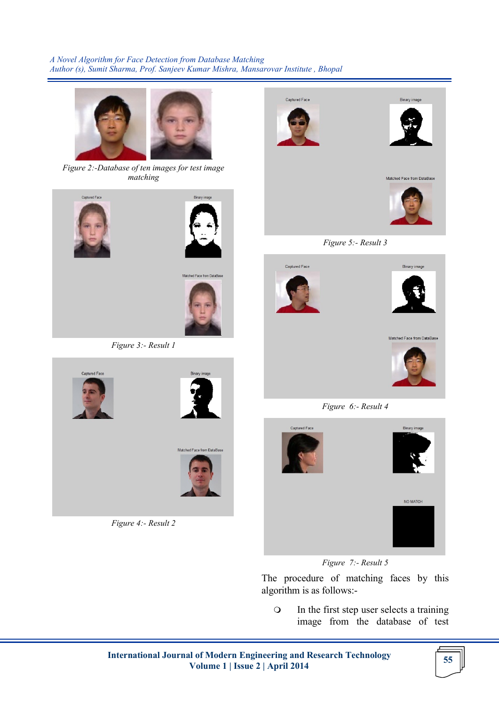

*Figure 2:-Database of ten images for test image matching*





Cantured Face

*Figure 4:- Result 2*

Matched Face from DataBase







*Figure 5:- Result 3*





*Figure 6:- Result 4*



*Figure 7:- Result 5*

The procedure of matching faces by this algorithm is as follows:-

 In the first step user selects a training image from the database of test

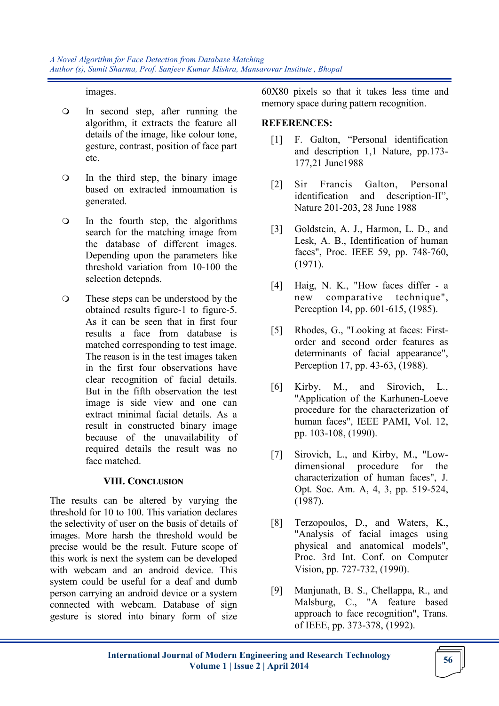images.

- In second step, after running the algorithm, it extracts the feature all details of the image, like colour tone, gesture, contrast, position of face part etc.
- In the third step, the binary image based on extracted inmoamation is generated.
- In the fourth step, the algorithms search for the matching image from the database of different images. Depending upon the parameters like threshold variation from 10-100 the selection detepnds.
- These steps can be understood by the obtained results figure-1 to figure-5. As it can be seen that in first four results a face from database is matched corresponding to test image. The reason is in the test images taken in the first four observations have clear recognition of facial details. But in the fifth observation the test image is side view and one can extract minimal facial details. As a result in constructed binary image because of the unavailability of required details the result was no face matched.

# **VIII. CONCLUSION**

The results can be altered by varying the threshold for 10 to 100. This variation declares the selectivity of user on the basis of details of images. More harsh the threshold would be precise would be the result. Future scope of this work is next the system can be developed with webcam and an android device. This system could be useful for a deaf and dumb person carrying an android device or a system connected with webcam. Database of sign gesture is stored into binary form of size 60X80 pixels so that it takes less time and memory space during pattern recognition.

## **REFERENCES:**

- [1] F. Galton, "Personal identification and description 1,1 Nature, pp.173- 177,21 June1988
- [2] Sir Francis Galton, Personal identification and description-II", Nature 201-203, 28 June 1988
- [3] Goldstein, A. J., Harmon, L. D., and Lesk, A. B., Identification of human faces", Proc. IEEE 59, pp. 748-760, (1971).
- [4] Haig, N. K., "How faces differ a new comparative technique", Perception 14, pp. 601-615, (1985).
- [5] Rhodes, G., "Looking at faces: Firstorder and second order features as determinants of facial appearance", Perception 17, pp. 43-63, (1988).
- [6] Kirby, M., and Sirovich, L., "Application of the Karhunen-Loeve procedure for the characterization of human faces", IEEE PAMI, Vol. 12, pp. 103-108, (1990).
- [7] Sirovich, L., and Kirby, M., "Lowdimensional procedure for the characterization of human faces", J. Opt. Soc. Am. A, 4, 3, pp. 519-524, (1987).
- [8] Terzopoulos, D., and Waters, K., "Analysis of facial images using physical and anatomical models", Proc. 3rd Int. Conf. on Computer Vision, pp. 727-732, (1990).
- [9] Manjunath, B. S., Chellappa, R., and Malsburg, C., "A feature based approach to face recognition", Trans. of IEEE, pp. 373-378, (1992).